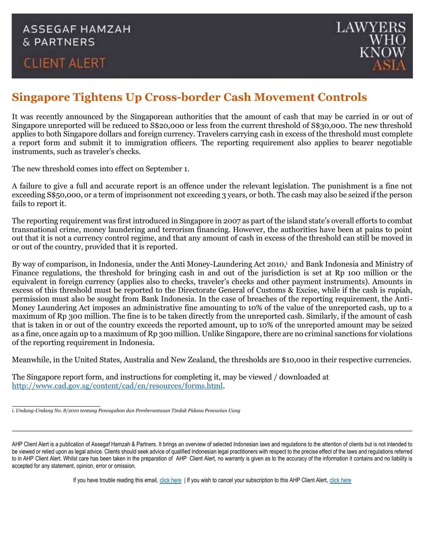## **CLIENT ALERT**



## **Singapore Tightens Up Cross-border Cash Movement Controls**

It was recently announced by the Singaporean authorities that the amount of cash that may be carried in or out of Singapore unreported will be reduced to S\$20,000 or less from the current threshold of S\$30,000. The new threshold applies to both Singapore dollars and foreign currency. Travelers carrying cash in excess of the threshold must complete a report form and submit it to immigration officers. The reporting requirement also applies to bearer negotiable instruments, such as traveler's checks.

The new threshold comes into effect on September 1.

A failure to give a full and accurate report is an offence under the relevant legislation. The punishment is a fine not exceeding S\$50,000, or a term of imprisonment not exceeding 3 years, or both. The cash may also be seized if the person fails to report it.

The reporting requirement was first introduced in Singapore in 2007 as part of the island state's overall efforts to combat transnational crime, money laundering and terrorism financing. However, the authorities have been at pains to point out that it is not a currency control regime, and that any amount of cash in excess of the threshold can still be moved in or out of the country, provided that it is reported.

By way of comparison, in Indonesia, under the Anti Money-Laundering Act 2010,<sup>i</sup> and Bank Indonesia and Ministry of Finance regulations, the threshold for bringing cash in and out of the jurisdiction is set at Rp 100 million or the equivalent in foreign currency (applies also to checks, traveler's checks and other payment instruments). Amounts in excess of this threshold must be reported to the Directorate General of Customs & Excise, while if the cash is rupiah, permission must also be sought from Bank Indonesia. In the case of breaches of the reporting requirement, the Anti-Money Laundering Act imposes an administrative fine amounting to 10% of the value of the unreported cash, up to a maximum of Rp 300 million. The fine is to be taken directly from the unreported cash. Similarly, if the amount of cash that is taken in or out of the country exceeds the reported amount, up to 10% of the unreported amount may be seized as a fine, once again up to a maximum of Rp 300 million. Unlike Singapore, there are no criminal sanctions for violations of the reporting requirement in Indonesia.

Meanwhile, in the United States, Australia and New Zealand, the thresholds are \$10,000 in their respective currencies.

The Singapore report form, and instructions for completing it, may be viewed / downloaded at [http://www.cad.gov.sg/content/cad/en/resources/forms.html.](http://www.cad.gov.sg/content/cad/en/resources/forms.html)

\_\_\_\_\_\_\_\_\_\_\_\_\_\_\_\_\_\_

If you have trouble reading this email, [click here](http://www.ahp.co.id/newsletter) | If you wish to cancel your subscription to this AHP Client Alert, [click](mailto:unsubscribe@ahp.co.id?subject=unsubscribe) here

*i. Undang-Undang No. 8/2010 tentang Pencegahan dan Pemberantasan Tindak Pidana Pencucian Uang*

AHP Client Alert is a publication of Assegaf Hamzah & Partners. It brings an overview of selected Indonesian laws and regulations to the attention of clients but is not intended to be viewed or relied upon as legal advice. Clients should seek advice of qualified Indonesian legal practitioners with respect to the precise effect of the laws and regulations referred to in AHP Client Alert. Whilst care has been taken in the preparation of AHP Client Alert, no warranty is given as to the accuracy of the information it contains and no liability is accepted for any statement, opinion, error or omission.